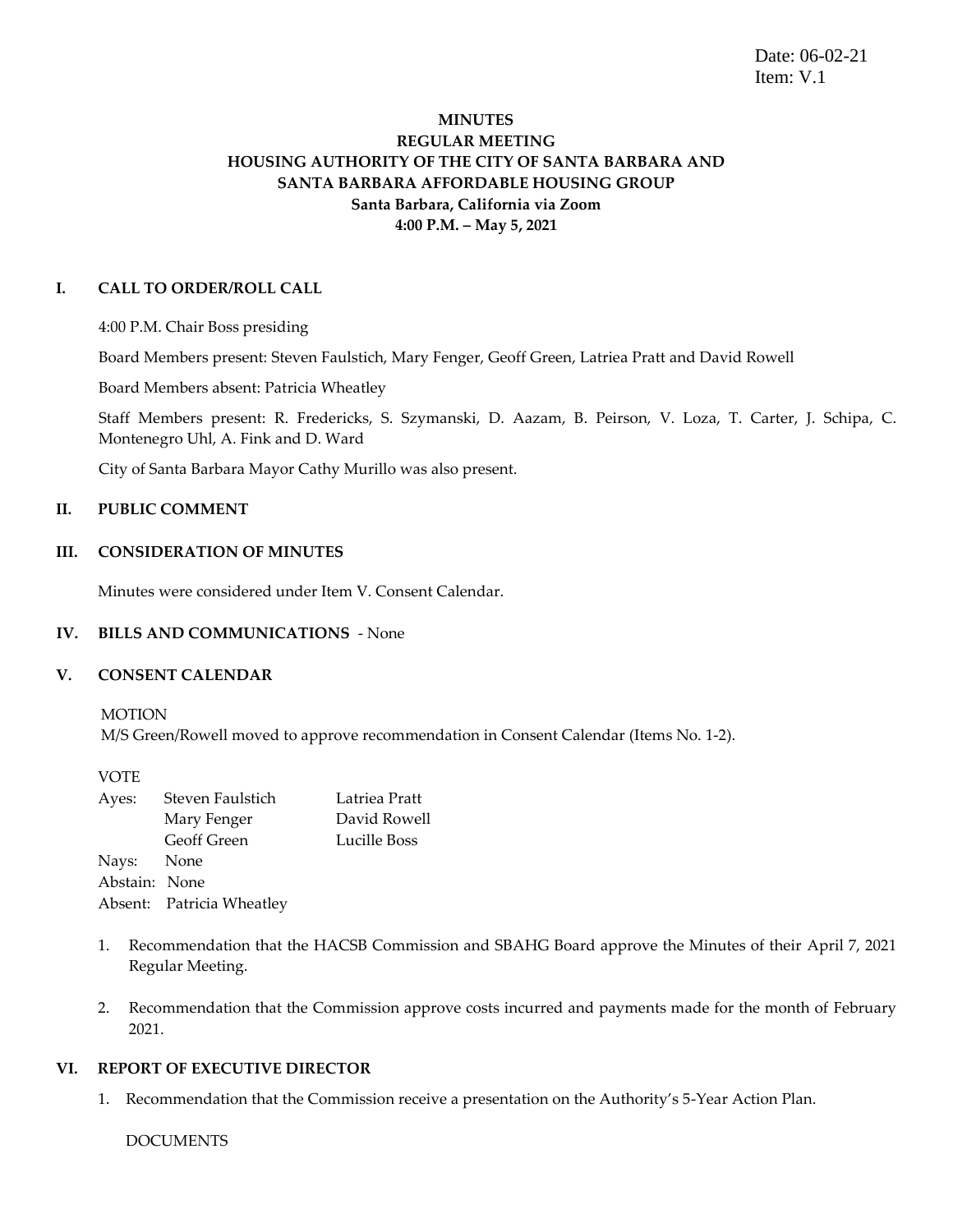Date: 06-02-21 Item: V.1

# **MINUTES REGULAR MEETING HOUSING AUTHORITY OF THE CITY OF SANTA BARBARA AND SANTA BARBARA AFFORDABLE HOUSING GROUP Santa Barbara, California via Zoom 4:00 P.M. – May 5, 2021**

## **I. CALL TO ORDER/ROLL CALL**

4:00 P.M. Chair Boss presiding

Board Members present: Steven Faulstich, Mary Fenger, Geoff Green, Latriea Pratt and David Rowell

Board Members absent: Patricia Wheatley

Staff Members present: R. Fredericks, S. Szymanski, D. Aazam, B. Peirson, V. Loza, T. Carter, J. Schipa, C. Montenegro Uhl, A. Fink and D. Ward

City of Santa Barbara Mayor Cathy Murillo was also present.

## **II. PUBLIC COMMENT**

## **III. CONSIDERATION OF MINUTES**

Minutes were considered under Item V. Consent Calendar.

#### **IV. BILLS AND COMMUNICATIONS** - None

#### **V. CONSENT CALENDAR**

MOTION M/S Green/Rowell moved to approve recommendation in Consent Calendar (Items No. 1-2).

VOTE

| Ayes:         | Steven Faulstich          | Latriea Pratt |
|---------------|---------------------------|---------------|
|               | Mary Fenger               | David Rowell  |
|               | <b>Geoff Green</b>        | Lucille Boss  |
| Nays: None    |                           |               |
| Abstain: None |                           |               |
|               | Absent: Patricia Wheatley |               |

- 1. Recommendation that the HACSB Commission and SBAHG Board approve the Minutes of their April 7, 2021 Regular Meeting.
- 2. Recommendation that the Commission approve costs incurred and payments made for the month of February 2021.

## **VI. REPORT OF EXECUTIVE DIRECTOR**

1. Recommendation that the Commission receive a presentation on the Authority's 5-Year Action Plan.

DOCUMENTS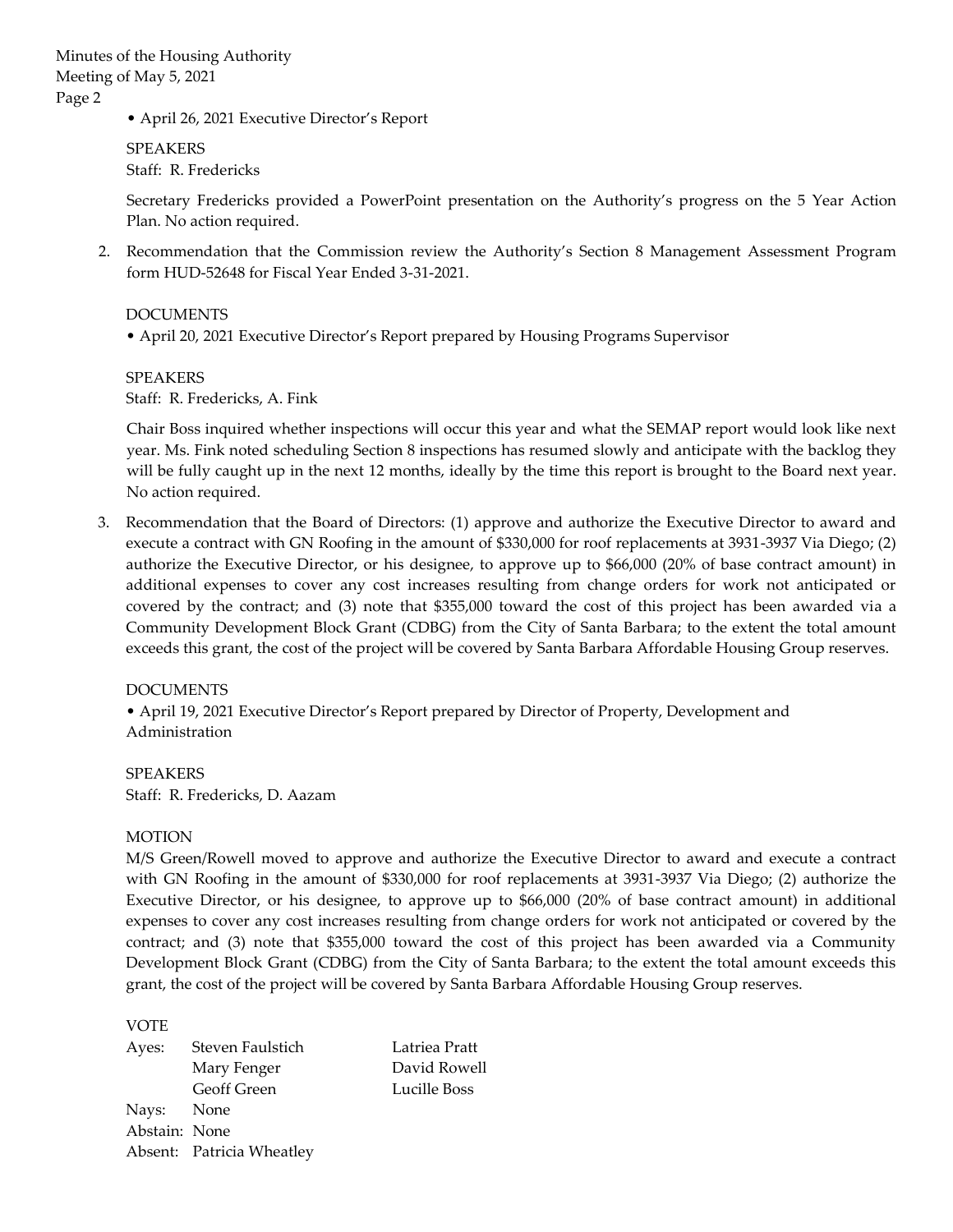• April 26, 2021 Executive Director's Report

SPEAKERS Staff: R. Fredericks

Secretary Fredericks provided a PowerPoint presentation on the Authority's progress on the 5 Year Action Plan. No action required.

2. Recommendation that the Commission review the Authority's Section 8 Management Assessment Program form HUD-52648 for Fiscal Year Ended 3-31-2021.

DOCUMENTS

• April 20, 2021 Executive Director's Report prepared by Housing Programs Supervisor

SPEAKERS Staff: R. Fredericks, A. Fink

Chair Boss inquired whether inspections will occur this year and what the SEMAP report would look like next year. Ms. Fink noted scheduling Section 8 inspections has resumed slowly and anticipate with the backlog they will be fully caught up in the next 12 months, ideally by the time this report is brought to the Board next year. No action required.

3. Recommendation that the Board of Directors: (1) approve and authorize the Executive Director to award and execute a contract with GN Roofing in the amount of \$330,000 for roof replacements at 3931-3937 Via Diego; (2) authorize the Executive Director, or his designee, to approve up to \$66,000 (20% of base contract amount) in additional expenses to cover any cost increases resulting from change orders for work not anticipated or covered by the contract; and (3) note that \$355,000 toward the cost of this project has been awarded via a Community Development Block Grant (CDBG) from the City of Santa Barbara; to the extent the total amount exceeds this grant, the cost of the project will be covered by Santa Barbara Affordable Housing Group reserves.

## DOCUMENTS

• April 19, 2021 Executive Director's Report prepared by Director of Property, Development and Administration

SPEAKERS Staff: R. Fredericks, D. Aazam

## MOTION

M/S Green/Rowell moved to approve and authorize the Executive Director to award and execute a contract with GN Roofing in the amount of \$330,000 for roof replacements at 3931-3937 Via Diego; (2) authorize the Executive Director, or his designee, to approve up to \$66,000 (20% of base contract amount) in additional expenses to cover any cost increases resulting from change orders for work not anticipated or covered by the contract; and (3) note that \$355,000 toward the cost of this project has been awarded via a Community Development Block Grant (CDBG) from the City of Santa Barbara; to the extent the total amount exceeds this grant, the cost of the project will be covered by Santa Barbara Affordable Housing Group reserves.

VOTE

| Steven Faulstich   | Latriea Pratt                                            |
|--------------------|----------------------------------------------------------|
| Mary Fenger        | David Rowell                                             |
| <b>Geoff Green</b> | Lucille Boss                                             |
|                    |                                                          |
|                    |                                                          |
|                    |                                                          |
|                    | Nays: None<br>Abstain: None<br>Absent: Patricia Wheatley |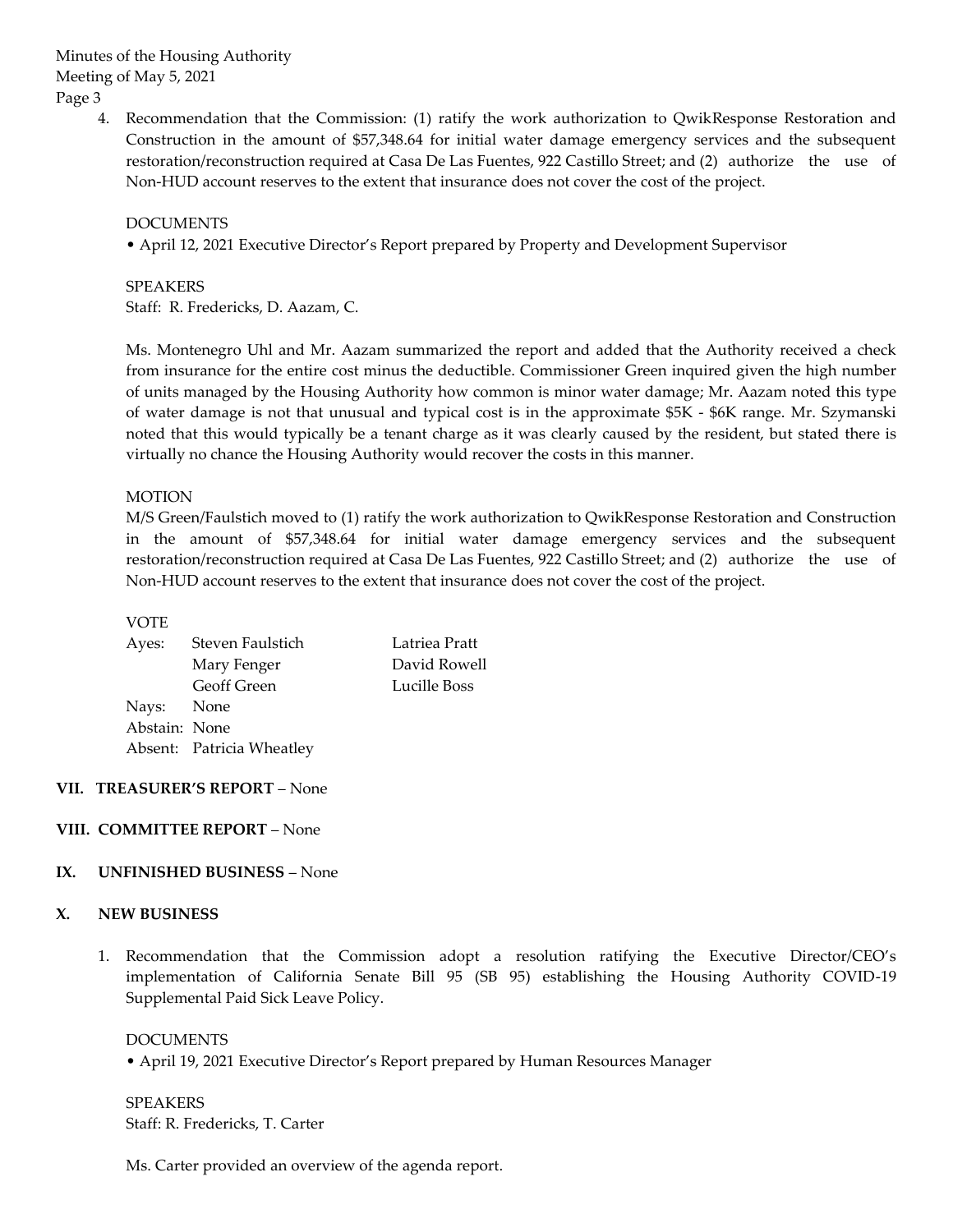Minutes of the Housing Authority Meeting of May 5, 2021 Page 3

> 4. Recommendation that the Commission: (1) ratify the work authorization to QwikResponse Restoration and Construction in the amount of \$57,348.64 for initial water damage emergency services and the subsequent restoration/reconstruction required at Casa De Las Fuentes, 922 Castillo Street; and (2) authorize the use of Non-HUD account reserves to the extent that insurance does not cover the cost of the project.

DOCUMENTS

• April 12, 2021 Executive Director's Report prepared by Property and Development Supervisor

SPEAKERS Staff: R. Fredericks, D. Aazam, C.

Ms. Montenegro Uhl and Mr. Aazam summarized the report and added that the Authority received a check from insurance for the entire cost minus the deductible. Commissioner Green inquired given the high number of units managed by the Housing Authority how common is minor water damage; Mr. Aazam noted this type of water damage is not that unusual and typical cost is in the approximate \$5K - \$6K range. Mr. Szymanski noted that this would typically be a tenant charge as it was clearly caused by the resident, but stated there is virtually no chance the Housing Authority would recover the costs in this manner.

## MOTION

M/S Green/Faulstich moved to (1) ratify the work authorization to QwikResponse Restoration and Construction in the amount of \$57,348.64 for initial water damage emergency services and the subsequent restoration/reconstruction required at Casa De Las Fuentes, 922 Castillo Street; and (2) authorize the use of Non-HUD account reserves to the extent that insurance does not cover the cost of the project.

#### VOTE

| Ayes:         | Steven Faulstich          | Latriea Pratt |
|---------------|---------------------------|---------------|
|               | Mary Fenger               | David Rowell  |
|               | <b>Geoff Green</b>        | Lucille Boss  |
| Nays: None    |                           |               |
| Abstain: None |                           |               |
|               | Absent: Patricia Wheatley |               |
|               |                           |               |

#### **VII. TREASURER'S REPORT** – None

### **VIII. COMMITTEE REPORT** – None

#### **IX. UNFINISHED BUSINESS** – None

#### **X. NEW BUSINESS**

1. Recommendation that the Commission adopt a resolution ratifying the Executive Director/CEO's implementation of California Senate Bill 95 (SB 95) establishing the Housing Authority COVID-19 Supplemental Paid Sick Leave Policy.

DOCUMENTS • April 19, 2021 Executive Director's Report prepared by Human Resources Manager

SPEAKERS Staff: R. Fredericks, T. Carter

Ms. Carter provided an overview of the agenda report.